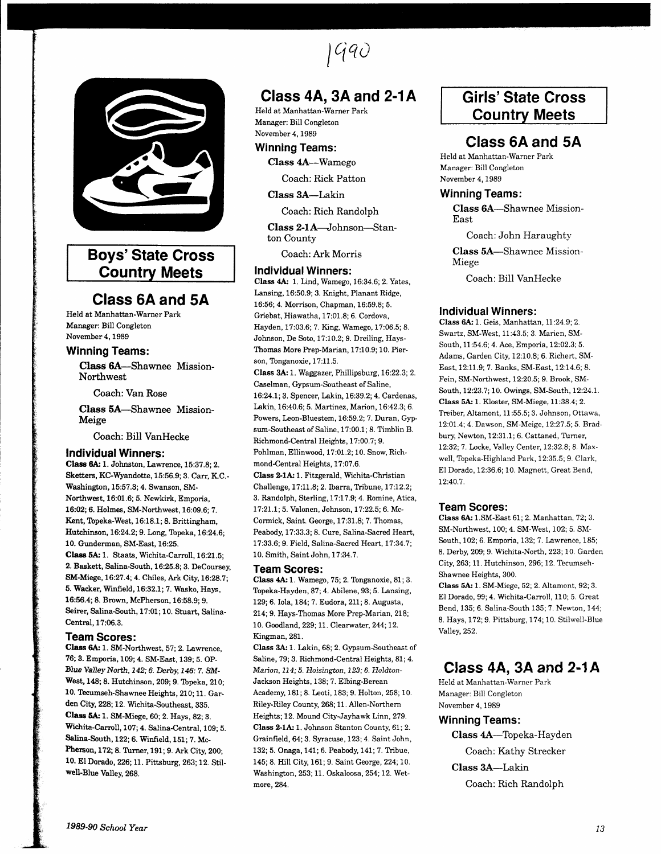lQqo



# Boys'State Cross Country Meets

## Class 6A and 5A

Held at Manhattan-Warner Park Manager: Bill Congleton November4,1989

### Winning Teams:

Class GA-Shawnee Mission-Northwest

Coach: Van Rose

Class EA-Shawnee Mission-Meige

Coach: Bill VanHecke

### Individual Winners:

Class 6A: 1. Johnston, Lawrence, 15:37.8; 2. Sketters, KC-Wyandotte, 15:56.9; 3. Carr, K.C.-Washington, 15:57.3; 4. Swanson, SM-Northwest, 16:01.6; 5. Newkirk, Emporia, 16:02;6. Holmes, SM-Northwest, L6:09.6; 7. Kent, Topeka-West, 16:18.1; 8. Brittingham, Hutchinson, 16:24.2; 9. Long, Topeka, 16:24.6; 10. Gunderman, SM-East, 16:25. Class 5A: 1. Staats, Wichita-Carroll, 16:21.5; 2. Baskett, Salina-South, 16:25.8; 3. DeCoursey, SM-Miege, L6:27 .4; 4. Chiles, Ark City, 16:28.?; 5. Wacker, Winfield, 16:32.1; 7. Wasko, Hays, 16:56.4; 8. Brown, McPherson, 16:58.9;9. Seirer, Salina-South, 17:01; 10. Stuart, Salina-Central, 17:06.3.

### Team Scores:

Class 6A: 1. SM-Northwest, 57; 2. Lawrence, ?6; 3. Emporia, 109; 4. SM-East, 139; 5. OP-Blue Valley North, 142; 6. Derby, 146: 7. SM-West, 148; 8. Hutchinson, 209; 9. Topeka, 210; 10. Tecumseh-Shawnee Heights, 210; 11. Garden City, 228; 12. Wichita-Southeast, 335. Class 5A: 1. SM-Miege, 60; 2. Hays, 82; 3. Wichita-Carroll, 107; 4. Salina-Central, 109; 5. Salina-South, 122; 6. Winfield, 151; 7. Mc-Pherson, 172; 8. Turner, 191; 9. Ark City, 200; 10. El Dorado, 226; 11. Pittsburg, 263; 12. Stilwell-Blue Valley, 268.

# Class 4A, 3A and 2-1A

Held at Manhattan-Warner Park Manager: Bill Congleton November4, 1989

## Winning Teams:

Class 4A-Wamego

Coach: Rick Patton

Class 3A-Lakin

Coach: Rich Randolph

Class 2-1A-Johnson-Stanton County

Coach: Ark Morris

#### Individual Winners:

Class 4A,: 1. Lind, Wamego, 16:34.6; 2. Yates, Lansing, 16:50.9; 3. Knight, Planant Ridge, 16:56;4. Morrison, Chapman, 16:59.8; 5. Griebat, Hiawatha, 17:01.8; 6. Cordova, Hayden, 17:03.6; 7. King, Wamego, 17:06.5; 8. Johnson, De Soto, 17:10.2; 9. Dreiling, Hays-Thomas More Prep-Marian, 17:10.9; 10. Pierson, Tonganoxie, 17:11.5.

Class 3A': 1. Wagazer, Phillipsburg, 16:22.3; 2. Caselman, Gypsum-Southeast of Saline, 16:24.1; 3. Spencer, Lakin, 16:39.2; 4. Cardenas, lakin, 16:40.6; 5. Martinez, Marion, 16:42.3;6. Powers, Leon-Bluestem, 16:59.2; 7. Duran, Gypsum-Southeast of Saline, 17:00.1; 8. Timblin B. Richmond-Central Heights, 1 7:00.7; 9. Pohlman, Ellinwood, 17:01.2; 10. Snow, Richmond-Central Heights, 17:07.6.

Class 2-1A: 1. Fitzgerald, Wichita-Christian Challenge, 17:11.8; 2. Ibarra, Tribune, 17:12.2; 3. Randolph, Sterling, 17:I7.9;4. Romine, Atica, 77 :21.7; 5. Valonen, Johnson, 77 :22.5; 6. Mc-Corrnick, Saint. George, 17:31.8; 7. Thomas, Peabody, 17:33.3; 8. Cure, Salina-Sacred Heart, 1 7:33.6; 9. Field, Salina-Sacred Heart, 17 :34.7 ; 10. Smith, Saint John, 17:34.7.

#### Team Scores:

Class 4A: 1. Wamego, 75; 2. Tonganoxie, 81; 3. Topeka-Hayden,8?; 4. Abilene,93; 5. Lansing, 129;6. Iola,184; ?. Eudora,211;8. Augusta, 2L4; 9. Hays-Thomas More Prep-Marian, 218; 1 0. Goodland, 229; 71. Clearwater, 244; 72. Kingman,281.

Class 3A: 1. Lakin, 68; 2. Gypsum-Southeast of Saline, 79; 3. Richmond-Central Heights, 81; 4. Marion, 114; 5. Hoisington, 123; 6. Holdton-Jackson Heights, 138; 7. Elbing-Berean Academy, 181; 8. Leoti, 183; 9. Holton, 258; 10. Riley-Riley County, 268; 11. Allen-Northern Heights;12. Mound CityJayhawk Linn, 279. Class 2-1A: 1. Johnson Stanton County, 61: 2. Grainfield, 64; 3. Syracuse, 123; 4. Saint John, 132; 5. Onaga, 141; 6. Peabody, 141; 7. Tribue, 145; 8. Hill City, 161; 9. Saint George,224;10. Washington, 253; 11. Oskaloosa, 254; 12. Wetmore,284.

# Girls'State Cross Country Meets

## Class 6A and 5A

Held at Manhattan-Warner Park Manager: Bill Congleton November 4, 1989

### Winning Teams:

Class 6A-Shawnee Mission-East

Coach: John Haraughty

Class 5A-Shawnee Mission-Miege

Coach: Bill VanHecke

### Individual Winners:

Class 6A: 1. Geis, Manhattan, 11:24.9; 2. Swartz, SM-West, 11:43.5; 3. Marien, SM-South, 11:54.6; 4. Ace, Emporia, 12:02.3; 5. Adams, Garden City,12:10.8; 6. Richert, SM-East, 12:11.9; 7. Banks, SM-East, 12:14.6; 8. Fein, SM-Northwest, 12:20.5; 9. Brook, SM-South, 12:23.7; 10. Owings, SM-South, 12:24.1. Class 5A: 1. Kloster, SM-Miege, 11:38.4; 2. Treiber, Altamont, 11:55.5; 3. Johnson, Ottawa, 12:01.4; 4. Dawson, SM-Meige, 12:27.5; 5. Bradbury, Newton, 12:31.1; 6. Cattaned, Turner, 12:32; 7 . Iocke, Valley Center, 12.32.8; 8. Maxwell, Topeka-Highland Park, 12:35.5; 9. Clark, El Dorado, 12:36.6; 10. Magnett, Great Bend, L2:40.7.

### Team Scores:

Class 6A: 1.SM-East 61; 2. Manhattan, 72; 3. SM-Northwest, 100; 4. SM-West, 102; 5. SM-South, 102; 6. Emporia, 132; 7. Lawrence, 185; 8. Derby, 209; 9. Wichita-North, 223; 10. Garden City, 263; 11. Hutchinson, 296; 12. Tecumseh-Shawnee Heights, 300.

Class 5A: 1. SM-Miege, 52; 2. Altamont, 92; 3. El Dorado, 99; 4. Wichita-Carroll, 110; 5. Great Bend, 135; 6. Salina-South 135; 7. Newton, 144; 8. Hays, 172;9. Pittsburg, 174; 10. Stilwell-Blue Yalley,252.

## Class 44,3A and 2-14

Held at Manhattan-Warner Park Manager: Bill Congleton November 4. 1989

### Winning Teams:

Class 4A-Topeka-Hayden Coach: Kathy Strecker Class 3A-Lakin Coach: Rich Randolph